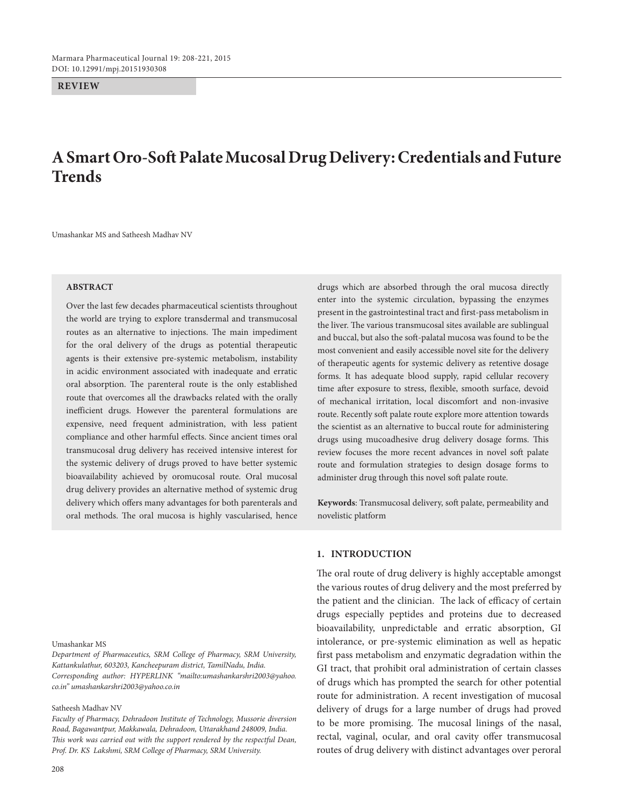**REVIEW**

# **A Smart Oro-Soft Palate Mucosal Drug Delivery: Credentials and Future Trends**

Umashankar MS and Satheesh Madhav NV

#### **ABSTRACT**

Over the last few decades pharmaceutical scientists throughout the world are trying to explore transdermal and transmucosal routes as an alternative to injections. The main impediment for the oral delivery of the drugs as potential therapeutic agents is their extensive pre-systemic metabolism, instability in acidic environment associated with inadequate and erratic oral absorption. The parenteral route is the only established route that overcomes all the drawbacks related with the orally inefficient drugs. However the parenteral formulations are expensive, need frequent administration, with less patient compliance and other harmful effects. Since ancient times oral transmucosal drug delivery has received intensive interest for the systemic delivery of drugs proved to have better systemic bioavailability achieved by oromucosal route. Oral mucosal drug delivery provides an alternative method of systemic drug delivery which offers many advantages for both parenterals and oral methods. The oral mucosa is highly vascularised, hence

Umashankar MS

*Department of Pharmaceutics, SRM College of Pharmacy, SRM University, Kattankulathur, 603203, Kancheepuram district, TamilNadu, India. Corresponding author: HYPERLINK "mailto:umashankarshri2003@yahoo. co.in" umashankarshri2003@yahoo.co.in*

#### Satheesh Madhav NV

*Faculty of Pharmacy, Dehradoon Institute of Technology, Mussorie diversion Road, Bagawantpur, Makkawala, Dehradoon, Uttarakhand 248009, India. This work was carried out with the support rendered by the respectful Dean, Prof. Dr. KS Lakshmi, SRM College of Pharmacy, SRM University.* 

drugs which are absorbed through the oral mucosa directly enter into the systemic circulation, bypassing the enzymes present in the gastrointestinal tract and first-pass metabolism in the liver. The various transmucosal sites available are sublingual and buccal, but also the soft-palatal mucosa was found to be the most convenient and easily accessible novel site for the delivery of therapeutic agents for systemic delivery as retentive dosage forms. It has adequate blood supply, rapid cellular recovery time after exposure to stress, flexible, smooth surface, devoid of mechanical irritation, local discomfort and non-invasive route. Recently soft palate route explore more attention towards the scientist as an alternative to buccal route for administering drugs using mucoadhesive drug delivery dosage forms. This review focuses the more recent advances in novel soft palate route and formulation strategies to design dosage forms to administer drug through this novel soft palate route.

**Keywords**: Transmucosal delivery, soft palate, permeability and novelistic platform

#### **1. IntroductIon**

The oral route of drug delivery is highly acceptable amongst the various routes of drug delivery and the most preferred by the patient and the clinician. The lack of efficacy of certain drugs especially peptides and proteins due to decreased bioavailability, unpredictable and erratic absorption, GI intolerance, or pre-systemic elimination as well as hepatic first pass metabolism and enzymatic degradation within the GI tract, that prohibit oral administration of certain classes of drugs which has prompted the search for other potential route for administration. A recent investigation of mucosal delivery of drugs for a large number of drugs had proved to be more promising. The mucosal linings of the nasal, rectal, vaginal, ocular, and oral cavity offer transmucosal routes of drug delivery with distinct advantages over peroral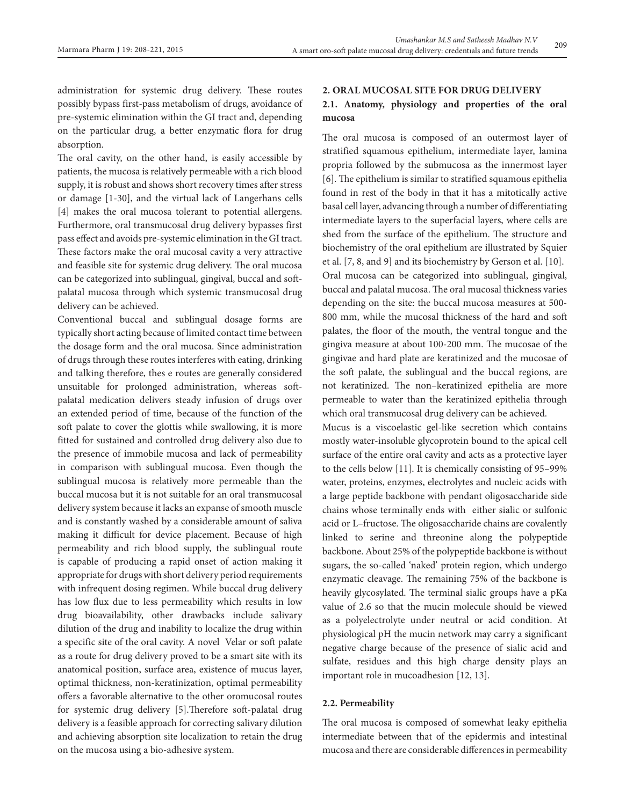administration for systemic drug delivery. These routes possibly bypass first-pass metabolism of drugs, avoidance of pre-systemic elimination within the GI tract and, depending on the particular drug, a better enzymatic flora for drug absorption.

The oral cavity, on the other hand, is easily accessible by patients, the mucosa is relatively permeable with a rich blood supply, it is robust and shows short recovery times after stress or damage [1-30], and the virtual lack of Langerhans cells [4] makes the oral mucosa tolerant to potential allergens. Furthermore, oral transmucosal drug delivery bypasses first pass effect and avoids pre-systemic elimination in the GI tract. These factors make the oral mucosal cavity a very attractive and feasible site for systemic drug delivery. The oral mucosa can be categorized into sublingual, gingival, buccal and softpalatal mucosa through which systemic transmucosal drug delivery can be achieved.

Conventional buccal and sublingual dosage forms are typically short acting because of limited contact time between the dosage form and the oral mucosa. Since administration of drugs through these routes interferes with eating, drinking and talking therefore, thes e routes are generally considered unsuitable for prolonged administration, whereas softpalatal medication delivers steady infusion of drugs over an extended period of time, because of the function of the soft palate to cover the glottis while swallowing, it is more fitted for sustained and controlled drug delivery also due to the presence of immobile mucosa and lack of permeability in comparison with sublingual mucosa. Even though the sublingual mucosa is relatively more permeable than the buccal mucosa but it is not suitable for an oral transmucosal delivery system because it lacks an expanse of smooth muscle and is constantly washed by a considerable amount of saliva making it difficult for device placement. Because of high permeability and rich blood supply, the sublingual route is capable of producing a rapid onset of action making it appropriate for drugs with short delivery period requirements with infrequent dosing regimen. While buccal drug delivery has low flux due to less permeability which results in low drug bioavailability, other drawbacks include salivary dilution of the drug and inability to localize the drug within a specific site of the oral cavity. A novel Velar or soft palate as a route for drug delivery proved to be a smart site with its anatomical position, surface area, existence of mucus layer, optimal thickness, non-keratinization, optimal permeability offers a favorable alternative to the other oromucosal routes for systemic drug delivery [5].Therefore soft-palatal drug delivery is a feasible approach for correcting salivary dilution and achieving absorption site localization to retain the drug on the mucosa using a bio-adhesive system.

# **2. Oral mucosal sIte for drug delIvery 2.1. Anatomy, physiology and properties of the oral mucosa**

The oral mucosa is composed of an outermost layer of stratified squamous epithelium, intermediate layer, lamina propria followed by the submucosa as the innermost layer [6]. The epithelium is similar to stratified squamous epithelia found in rest of the body in that it has a mitotically active basal cell layer, advancing through a number of differentiating intermediate layers to the superfacial layers, where cells are shed from the surface of the epithelium. The structure and biochemistry of the oral epithelium are illustrated by Squier et al. [7, 8, and 9] and its biochemistry by Gerson et al. [10]. Oral mucosa can be categorized into sublingual, gingival, buccal and palatal mucosa. The oral mucosal thickness varies depending on the site: the buccal mucosa measures at 500- 800 mm, while the mucosal thickness of the hard and soft palates, the floor of the mouth, the ventral tongue and the gingiva measure at about 100-200 mm. The mucosae of the gingivae and hard plate are keratinized and the mucosae of the soft palate, the sublingual and the buccal regions, are not keratinized. The non–keratinized epithelia are more permeable to water than the keratinized epithelia through which oral transmucosal drug delivery can be achieved.

Mucus is a viscoelastic gel-like secretion which contains mostly water-insoluble glycoprotein bound to the apical cell surface of the entire oral cavity and acts as a protective layer to the cells below [11]. It is chemically consisting of 95–99% water, proteins, enzymes, electrolytes and nucleic acids with a large peptide backbone with pendant oligosaccharide side chains whose terminally ends with either sialic or sulfonic acid or L–fructose. The oligosaccharide chains are covalently linked to serine and threonine along the polypeptide backbone. About 25% of the polypeptide backbone is without sugars, the so-called 'naked' protein region, which undergo enzymatic cleavage. The remaining 75% of the backbone is heavily glycosylated. The terminal sialic groups have a pKa value of 2.6 so that the mucin molecule should be viewed as a polyelectrolyte under neutral or acid condition. At physiological pH the mucin network may carry a significant negative charge because of the presence of sialic acid and sulfate, residues and this high charge density plays an important role in mucoadhesion [12, 13].

## **2.2. Permeability**

The oral mucosa is composed of somewhat leaky epithelia intermediate between that of the epidermis and intestinal mucosa and there are considerable differences in permeability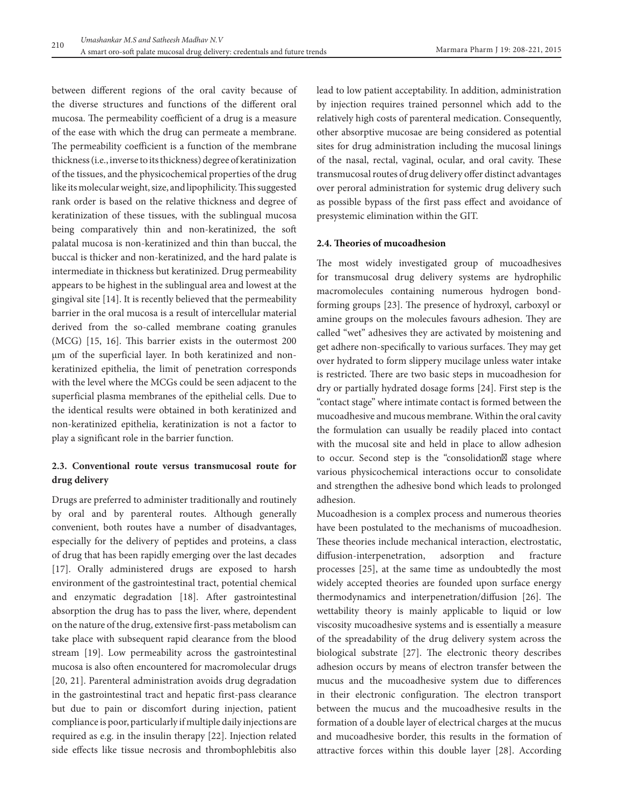between different regions of the oral cavity because of the diverse structures and functions of the different oral mucosa. The permeability coefficient of a drug is a measure of the ease with which the drug can permeate a membrane. The permeability coefficient is a function of the membrane thickness (i.e., inverse to its thickness) degree of keratinization of the tissues, and the physicochemical properties of the drug like its molecular weight, size, and lipophilicity. This suggested rank order is based on the relative thickness and degree of keratinization of these tissues, with the sublingual mucosa being comparatively thin and non-keratinized, the soft palatal mucosa is non-keratinized and thin than buccal, the buccal is thicker and non-keratinized, and the hard palate is intermediate in thickness but keratinized. Drug permeability appears to be highest in the sublingual area and lowest at the gingival site [14]. It is recently believed that the permeability barrier in the oral mucosa is a result of intercellular material derived from the so-called membrane coating granules (MCG) [15, 16]. This barrier exists in the outermost 200 µm of the superficial layer. In both keratinized and nonkeratinized epithelia, the limit of penetration corresponds with the level where the MCGs could be seen adjacent to the superficial plasma membranes of the epithelial cells. Due to the identical results were obtained in both keratinized and non-keratinized epithelia, keratinization is not a factor to play a significant role in the barrier function.

# **2.3. Conventional route versus transmucosal route for drug delivery**

Drugs are preferred to administer traditionally and routinely by oral and by parenteral routes. Although generally convenient, both routes have a number of disadvantages, especially for the delivery of peptides and proteins, a class of drug that has been rapidly emerging over the last decades [17]. Orally administered drugs are exposed to harsh environment of the gastrointestinal tract, potential chemical and enzymatic degradation [18]. After gastrointestinal absorption the drug has to pass the liver, where, dependent on the nature of the drug, extensive first-pass metabolism can take place with subsequent rapid clearance from the blood stream [19]. Low permeability across the gastrointestinal mucosa is also often encountered for macromolecular drugs [20, 21]. Parenteral administration avoids drug degradation in the gastrointestinal tract and hepatic first-pass clearance but due to pain or discomfort during injection, patient compliance is poor, particularly if multiple daily injections are required as e.g. in the insulin therapy [22]. Injection related side effects like tissue necrosis and thrombophlebitis also

lead to low patient acceptability. In addition, administration by injection requires trained personnel which add to the relatively high costs of parenteral medication. Consequently, other absorptive mucosae are being considered as potential sites for drug administration including the mucosal linings of the nasal, rectal, vaginal, ocular, and oral cavity. These transmucosal routes of drug delivery offer distinct advantages over peroral administration for systemic drug delivery such as possible bypass of the first pass effect and avoidance of presystemic elimination within the GIT.

## **2.4. Theories of mucoadhesion**

The most widely investigated group of mucoadhesives for transmucosal drug delivery systems are hydrophilic macromolecules containing numerous hydrogen bondforming groups [23]. The presence of hydroxyl, carboxyl or amine groups on the molecules favours adhesion. They are called "wet" adhesives they are activated by moistening and get adhere non-specifically to various surfaces. They may get over hydrated to form slippery mucilage unless water intake is restricted. There are two basic steps in mucoadhesion for dry or partially hydrated dosage forms [24]. First step is the "contact stage" where intimate contact is formed between the mucoadhesive and mucous membrane. Within the oral cavity the formulation can usually be readily placed into contact with the mucosal site and held in place to allow adhesion to occur. Second step is the "consolidation" stage where various physicochemical interactions occur to consolidate and strengthen the adhesive bond which leads to prolonged adhesion.

Mucoadhesion is a complex process and numerous theories have been postulated to the mechanisms of mucoadhesion. These theories include mechanical interaction, electrostatic, diffusion-interpenetration, adsorption and fracture processes [25], at the same time as undoubtedly the most widely accepted theories are founded upon surface energy thermodynamics and interpenetration/diffusion [26]. The wettability theory is mainly applicable to liquid or low viscosity mucoadhesive systems and is essentially a measure of the spreadability of the drug delivery system across the biological substrate [27]. The electronic theory describes adhesion occurs by means of electron transfer between the mucus and the mucoadhesive system due to differences in their electronic configuration. The electron transport between the mucus and the mucoadhesive results in the formation of a double layer of electrical charges at the mucus and mucoadhesive border, this results in the formation of attractive forces within this double layer [28]. According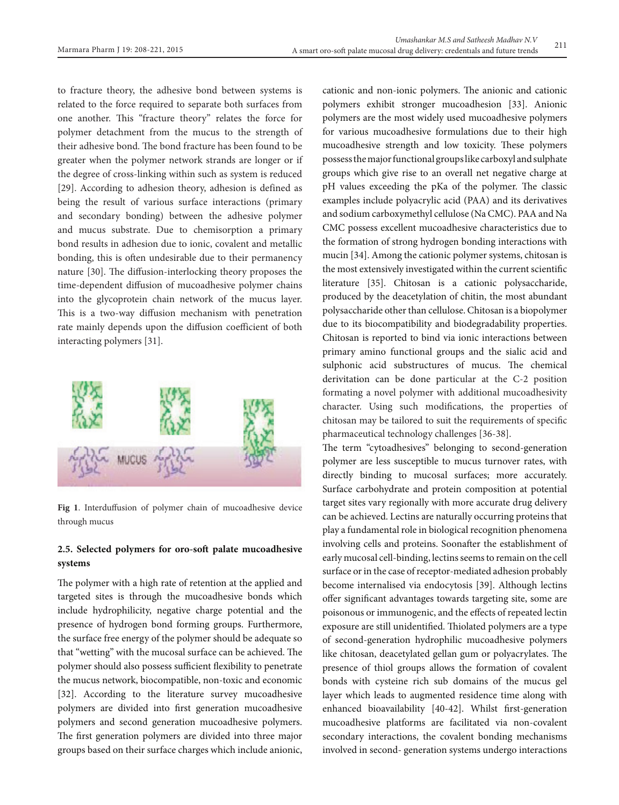to fracture theory, the adhesive bond between systems is related to the force required to separate both surfaces from one another. This "fracture theory" relates the force for polymer detachment from the mucus to the strength of their adhesive bond. The bond fracture has been found to be greater when the polymer network strands are longer or if the degree of cross-linking within such as system is reduced [29]. According to adhesion theory, adhesion is defined as being the result of various surface interactions (primary and secondary bonding) between the adhesive polymer and mucus substrate. Due to chemisorption a primary bond results in adhesion due to ionic, covalent and metallic bonding, this is often undesirable due to their permanency nature [30]. The diffusion-interlocking theory proposes the time-dependent diffusion of mucoadhesive polymer chains into the glycoprotein chain network of the mucus layer. This is a two-way diffusion mechanism with penetration rate mainly depends upon the diffusion coefficient of both interacting polymers [31].



**Fig 1**. Interduffusion of polymer chain of mucoadhesive device through mucus

# **2.5. Selected polymers for oro-soft palate mucoadhesive systems**

The polymer with a high rate of retention at the applied and targeted sites is through the mucoadhesive bonds which include hydrophilicity, negative charge potential and the presence of hydrogen bond forming groups. Furthermore, the surface free energy of the polymer should be adequate so that "wetting" with the mucosal surface can be achieved. The polymer should also possess sufficient flexibility to penetrate the mucus network, biocompatible, non-toxic and economic [32]. According to the literature survey mucoadhesive polymers are divided into first generation mucoadhesive polymers and second generation mucoadhesive polymers. The first generation polymers are divided into three major groups based on their surface charges which include anionic, cationic and non-ionic polymers. The anionic and cationic polymers exhibit stronger mucoadhesion [33]. Anionic polymers are the most widely used mucoadhesive polymers for various mucoadhesive formulations due to their high mucoadhesive strength and low toxicity. These polymers possess the major functional groups like carboxyl and sulphate groups which give rise to an overall net negative charge at pH values exceeding the pKa of the polymer. The classic examples include polyacrylic acid (PAA) and its derivatives and sodium carboxymethyl cellulose (Na CMC). PAA and Na CMC possess excellent mucoadhesive characteristics due to the formation of strong hydrogen bonding interactions with mucin [34]. Among the cationic polymer systems, chitosan is the most extensively investigated within the current scientific literature [35]. Chitosan is a cationic polysaccharide, produced by the deacetylation of chitin, the most abundant polysaccharide other than cellulose. Chitosan is a biopolymer due to its biocompatibility and biodegradability properties. Chitosan is reported to bind via ionic interactions between primary amino functional groups and the sialic acid and sulphonic acid substructures of mucus. The chemical derivitation can be done particular at the C-2 position formating a novel polymer with additional mucoadhesivity character. Using such modifications, the properties of chitosan may be tailored to suit the requirements of specific pharmaceutical technology challenges [36-38].

The term "cytoadhesives" belonging to second-generation polymer are less susceptible to mucus turnover rates, with directly binding to mucosal surfaces; more accurately. Surface carbohydrate and protein composition at potential target sites vary regionally with more accurate drug delivery can be achieved. Lectins are naturally occurring proteins that play a fundamental role in biological recognition phenomena involving cells and proteins. Soonafter the establishment of early mucosal cell-binding, lectins seems to remain on the cell surface or in the case of receptor-mediated adhesion probably become internalised via endocytosis [39]. Although lectins offer significant advantages towards targeting site, some are poisonous or immunogenic, and the effects of repeated lectin exposure are still unidentified. Thiolated polymers are a type of second-generation hydrophilic mucoadhesive polymers like chitosan, deacetylated gellan gum or polyacrylates. The presence of thiol groups allows the formation of covalent bonds with cysteine rich sub domains of the mucus gel layer which leads to augmented residence time along with enhanced bioavailability [40-42]. Whilst first-generation mucoadhesive platforms are facilitated via non-covalent secondary interactions, the covalent bonding mechanisms involved in second- generation systems undergo interactions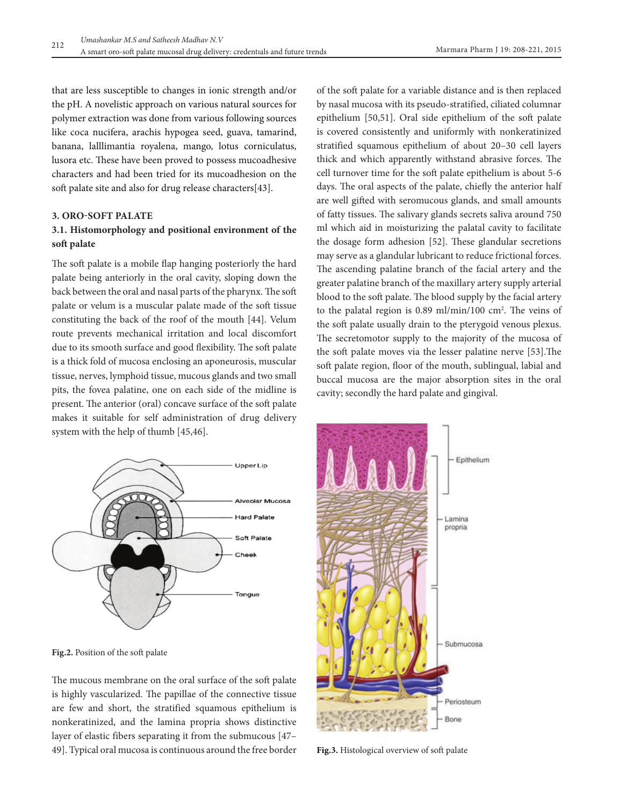that are less susceptible to changes in ionic strength and/or the pH. A novelistic approach on various natural sources for polymer extraction was done from various following sources like coca nucifera, arachis hypogea seed, guava, tamarind, banana, lalllimantia royalena, mango, lotus corniculatus, lusora etc. These have been proved to possess mucoadhesive characters and had been tried for its mucoadhesion on the soft palate site and also for drug release characters[43].

## **3. Oro-Soft palate**

# **3.1. Histomorphology and positional environment of the soft palate**

The soft palate is a mobile flap hanging posteriorly the hard palate being anteriorly in the oral cavity, sloping down the back between the oral and nasal parts of the pharynx. The soft palate or velum is a muscular palate made of the soft tissue constituting the back of the roof of the mouth [44]. Velum route prevents mechanical irritation and local discomfort due to its smooth surface and good flexibility. The soft palate is a thick fold of mucosa enclosing an aponeurosis, muscular tissue, nerves, lymphoid tissue, mucous glands and two small pits, the fovea palatine, one on each side of the midline is present. The anterior (oral) concave surface of the soft palate makes it suitable for self administration of drug delivery system with the help of thumb [45,46].



**Fig.2.** Position of the soft palate

The mucous membrane on the oral surface of the soft palate is highly vascularized. The papillae of the connective tissue are few and short, the stratified squamous epithelium is nonkeratinized, and the lamina propria shows distinctive layer of elastic fibers separating it from the submucous [47– 49]. Typical oral mucosa is continuous around the free border

of the soft palate for a variable distance and is then replaced by nasal mucosa with its pseudo-stratified, ciliated columnar epithelium [50,51]. Oral side epithelium of the soft palate is covered consistently and uniformly with nonkeratinized stratified squamous epithelium of about 20–30 cell layers thick and which apparently withstand abrasive forces. The cell turnover time for the soft palate epithelium is about 5-6 days. The oral aspects of the palate, chiefly the anterior half are well gifted with seromucous glands, and small amounts of fatty tissues. The salivary glands secrets saliva around 750 ml which aid in moisturizing the palatal cavity to facilitate the dosage form adhesion [52]. These glandular secretions may serve as a glandular lubricant to reduce frictional forces. The ascending palatine branch of the facial artery and the greater palatine branch of the maxillary artery supply arterial blood to the soft palate. The blood supply by the facial artery to the palatal region is 0.89 ml/min/100 cm<sup>2</sup>. The veins of the soft palate usually drain to the pterygoid venous plexus. The secretomotor supply to the majority of the mucosa of the soft palate moves via the lesser palatine nerve [53].The soft palate region, floor of the mouth, sublingual, labial and buccal mucosa are the major absorption sites in the oral cavity; secondly the hard palate and gingival.



**Fig.3.** Histological overview of soft palate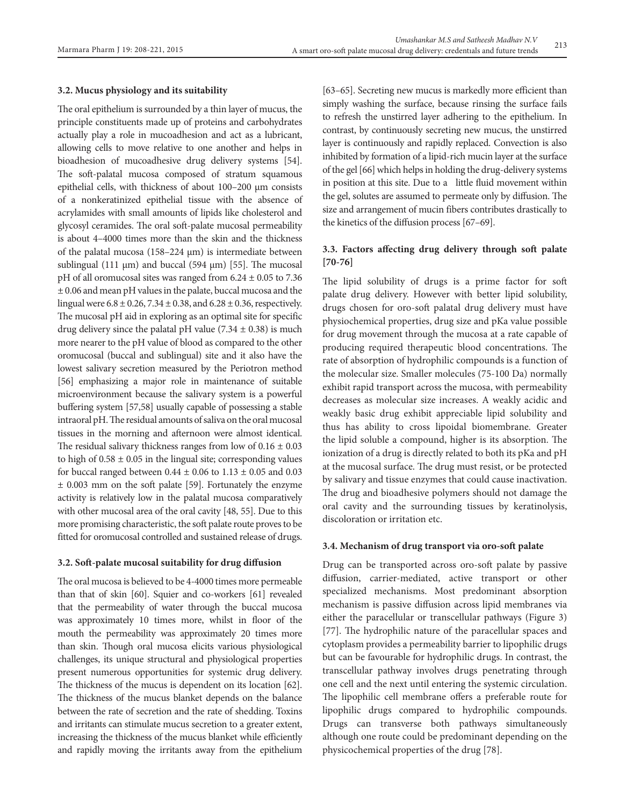#### **3.2. Mucus physiology and its suitability**

The oral epithelium is surrounded by a thin layer of mucus, the principle constituents made up of proteins and carbohydrates actually play a role in mucoadhesion and act as a lubricant, allowing cells to move relative to one another and helps in bioadhesion of mucoadhesive drug delivery systems [54]. The soft-palatal mucosa composed of stratum squamous epithelial cells, with thickness of about 100–200 μm consists of a nonkeratinized epithelial tissue with the absence of acrylamides with small amounts of lipids like cholesterol and glycosyl ceramides. The oral soft-palate mucosal permeability is about 4–4000 times more than the skin and the thickness of the palatal mucosa (158–224 μm) is intermediate between sublingual (111  $\mu$ m) and buccal (594  $\mu$ m) [55]. The mucosal pH of all oromucosal sites was ranged from 6.24 ± 0.05 to 7.36 ± 0.06 and mean pH values in the palate, buccal mucosa and the lingual were  $6.8 \pm 0.26$ ,  $7.34 \pm 0.38$ , and  $6.28 \pm 0.36$ , respectively. The mucosal pH aid in exploring as an optimal site for specific drug delivery since the palatal pH value  $(7.34 \pm 0.38)$  is much more nearer to the pH value of blood as compared to the other oromucosal (buccal and sublingual) site and it also have the lowest salivary secretion measured by the Periotron method [56] emphasizing a major role in maintenance of suitable microenvironment because the salivary system is a powerful buffering system [57,58] usually capable of possessing a stable intraoral pH. The residual amounts of saliva on the oral mucosal tissues in the morning and afternoon were almost identical. The residual salivary thickness ranges from low of  $0.16 \pm 0.03$ to high of  $0.58 \pm 0.05$  in the lingual site; corresponding values for buccal ranged between  $0.44 \pm 0.06$  to  $1.13 \pm 0.05$  and  $0.03$ ± 0.003 mm on the soft palate [59]. Fortunately the enzyme activity is relatively low in the palatal mucosa comparatively with other mucosal area of the oral cavity [48, 55]. Due to this more promising characteristic, the soft palate route proves to be fitted for oromucosal controlled and sustained release of drugs.

#### **3.2. Soft-palate mucosal suitability for drug diffusion**

The oral mucosa is believed to be 4-4000 times more permeable than that of skin [60]. Squier and co-workers [61] revealed that the permeability of water through the buccal mucosa was approximately 10 times more, whilst in floor of the mouth the permeability was approximately 20 times more than skin. Though oral mucosa elicits various physiological challenges, its unique structural and physiological properties present numerous opportunities for systemic drug delivery. The thickness of the mucus is dependent on its location [62]. The thickness of the mucus blanket depends on the balance between the rate of secretion and the rate of shedding. Toxins and irritants can stimulate mucus secretion to a greater extent, increasing the thickness of the mucus blanket while efficiently and rapidly moving the irritants away from the epithelium [63–65]. Secreting new mucus is markedly more efficient than simply washing the surface, because rinsing the surface fails to refresh the unstirred layer adhering to the epithelium. In contrast, by continuously secreting new mucus, the unstirred layer is continuously and rapidly replaced. Convection is also inhibited by formation of a lipid-rich mucin layer at the surface of the gel [66] which helps in holding the drug-delivery systems in position at this site. Due to a little fluid movement within the gel, solutes are assumed to permeate only by diffusion. The size and arrangement of mucin fibers contributes drastically to the kinetics of the diffusion process [67–69].

# **3.3. Factors affecting drug delivery through soft palate [70-76]**

The lipid solubility of drugs is a prime factor for soft palate drug delivery. However with better lipid solubility, drugs chosen for oro-soft palatal drug delivery must have physiochemical properties, drug size and pKa value possible for drug movement through the mucosa at a rate capable of producing required therapeutic blood concentrations. The rate of absorption of hydrophilic compounds is a function of the molecular size. Smaller molecules (75-100 Da) normally exhibit rapid transport across the mucosa, with permeability decreases as molecular size increases. A weakly acidic and weakly basic drug exhibit appreciable lipid solubility and thus has ability to cross lipoidal biomembrane. Greater the lipid soluble a compound, higher is its absorption. The ionization of a drug is directly related to both its pKa and pH at the mucosal surface. The drug must resist, or be protected by salivary and tissue enzymes that could cause inactivation. The drug and bioadhesive polymers should not damage the oral cavity and the surrounding tissues by keratinolysis, discoloration or irritation etc.

#### **3.4. Mechanism of drug transport via oro-soft palate**

Drug can be transported across oro-soft palate by passive diffusion, carrier-mediated, active transport or other specialized mechanisms. Most predominant absorption mechanism is passive diffusion across lipid membranes via either the paracellular or transcellular pathways (Figure 3) [77]. The hydrophilic nature of the paracellular spaces and cytoplasm provides a permeability barrier to lipophilic drugs but can be favourable for hydrophilic drugs. In contrast, the transcellular pathway involves drugs penetrating through one cell and the next until entering the systemic circulation. The lipophilic cell membrane offers a preferable route for lipophilic drugs compared to hydrophilic compounds. Drugs can transverse both pathways simultaneously although one route could be predominant depending on the physicochemical properties of the drug [78].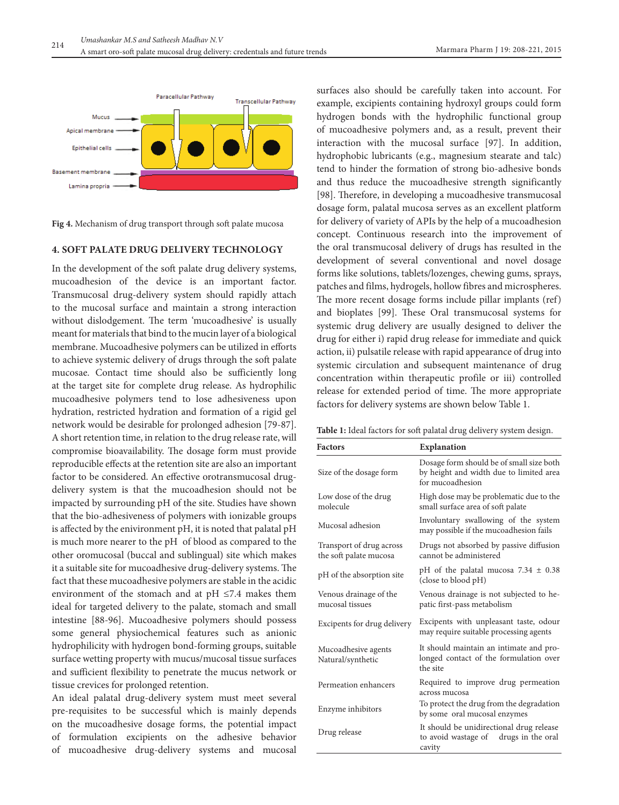

**Fig 4.** Mechanism of drug transport through soft palate mucosa

### **4. Soft palate drug delIvery technology**

In the development of the soft palate drug delivery systems, mucoadhesion of the device is an important factor. Transmucosal drug-delivery system should rapidly attach to the mucosal surface and maintain a strong interaction without dislodgement. The term 'mucoadhesive' is usually meant for materials that bind to the mucin layer of a biological membrane. Mucoadhesive polymers can be utilized in efforts to achieve systemic delivery of drugs through the soft palate mucosae. Contact time should also be sufficiently long at the target site for complete drug release. As hydrophilic mucoadhesive polymers tend to lose adhesiveness upon hydration, restricted hydration and formation of a rigid gel network would be desirable for prolonged adhesion [79-87]. A short retention time, in relation to the drug release rate, will compromise bioavailability. The dosage form must provide reproducible effects at the retention site are also an important factor to be considered. An effective orotransmucosal drugdelivery system is that the mucoadhesion should not be impacted by surrounding pH of the site. Studies have shown that the bio-adhesiveness of polymers with ionizable groups is affected by the enivironment pH, it is noted that palatal pH is much more nearer to the pH of blood as compared to the other oromucosal (buccal and sublingual) site which makes it a suitable site for mucoadhesive drug-delivery systems. The fact that these mucoadhesive polymers are stable in the acidic environment of the stomach and at  $pH \leq 7.4$  makes them ideal for targeted delivery to the palate, stomach and small intestine [88-96]. Mucoadhesive polymers should possess some general physiochemical features such as anionic hydrophilicity with hydrogen bond-forming groups, suitable surface wetting property with mucus/mucosal tissue surfaces and sufficient flexibility to penetrate the mucus network or tissue crevices for prolonged retention.

An ideal palatal drug-delivery system must meet several pre-requisites to be successful which is mainly depends on the mucoadhesive dosage forms, the potential impact of formulation excipients on the adhesive behavior of mucoadhesive drug-delivery systems and mucosal

surfaces also should be carefully taken into account. For example, excipients containing hydroxyl groups could form hydrogen bonds with the hydrophilic functional group of mucoadhesive polymers and, as a result, prevent their interaction with the mucosal surface [97]. In addition, hydrophobic lubricants (e.g., magnesium stearate and talc) tend to hinder the formation of strong bio-adhesive bonds and thus reduce the mucoadhesive strength significantly [98]. Therefore, in developing a mucoadhesive transmucosal dosage form, palatal mucosa serves as an excellent platform for delivery of variety of APIs by the help of a mucoadhesion concept. Continuous research into the improvement of the oral transmucosal delivery of drugs has resulted in the development of several conventional and novel dosage forms like solutions, tablets/lozenges, chewing gums, sprays, patches and films, hydrogels, hollow fibres and microspheres. The more recent dosage forms include pillar implants (ref) and bioplates [99]. These Oral transmucosal systems for systemic drug delivery are usually designed to deliver the drug for either i) rapid drug release for immediate and quick action, ii) pulsatile release with rapid appearance of drug into systemic circulation and subsequent maintenance of drug concentration within therapeutic profile or iii) controlled release for extended period of time. The more appropriate factors for delivery systems are shown below Table 1.

**Table 1:** Ideal factors for soft palatal drug delivery system design.

| <b>Factors</b>                                     | <b>Explanation</b>                                                                                      |  |
|----------------------------------------------------|---------------------------------------------------------------------------------------------------------|--|
| Size of the dosage form                            | Dosage form should be of small size both<br>by height and width due to limited area<br>for mucoadhesion |  |
| Low dose of the drug<br>molecule                   | High dose may be problematic due to the<br>small surface area of soft palate                            |  |
| Mucosal adhesion                                   | Involuntary swallowing of the system<br>may possible if the mucoadhesion fails                          |  |
| Transport of drug across<br>the soft palate mucosa | Drugs not absorbed by passive diffusion<br>cannot be administered                                       |  |
| pH of the absorption site                          | pH of the palatal mucosa $7.34 \pm 0.38$<br>(close to blood pH)                                         |  |
| Venous drainage of the<br>mucosal tissues          | Venous drainage is not subjected to he-<br>patic first-pass metabolism                                  |  |
| Excipents for drug delivery                        | Excipents with unpleasant taste, odour<br>may require suitable processing agents                        |  |
| Mucoadhesive agents<br>Natural/synthetic           | It should maintain an intimate and pro-<br>longed contact of the formulation over<br>the site           |  |
| Permeation enhancers                               | Required to improve drug permeation<br>across mucosa                                                    |  |
| Enzyme inhibitors                                  | To protect the drug from the degradation<br>by some oral mucosal enzymes                                |  |
| Drug release                                       | It should be unidirectional drug release<br>to avoid wastage of<br>drugs in the oral<br>cavity          |  |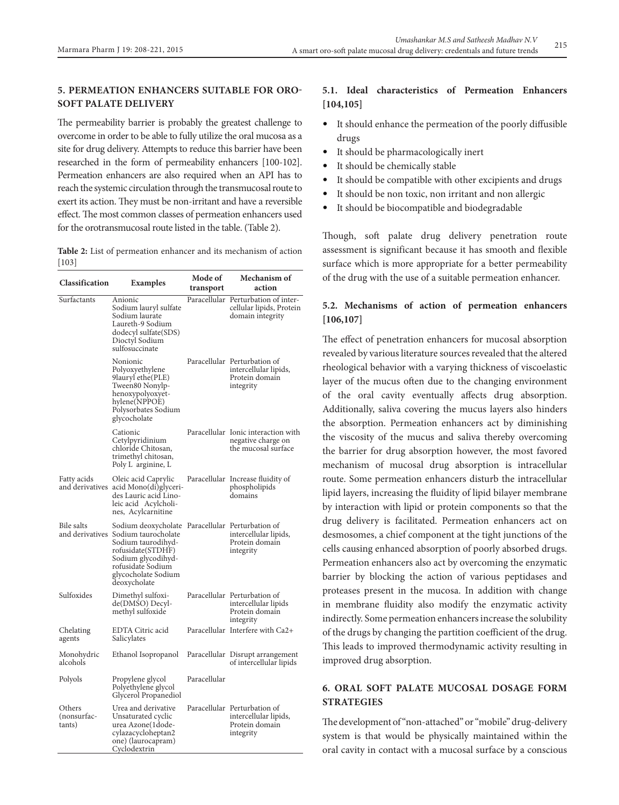# **5. PermeatIon enhancers suItable for orosoft palate delIvery**

The permeability barrier is probably the greatest challenge to overcome in order to be able to fully utilize the oral mucosa as a site for drug delivery. Attempts to reduce this barrier have been researched in the form of permeability enhancers [100-102]. Permeation enhancers are also required when an API has to reach the systemic circulation through the transmucosal route to exert its action. They must be non-irritant and have a reversible effect. The most common classes of permeation enhancers used for the orotransmucosal route listed in the table. (Table 2).

**Table 2:** List of permeation enhancer and its mechanism of action [103]

| Classification                  | Examples                                                                                                                                                                                                             | Mode of<br>transport | Mechanism of<br>action                                                               |
|---------------------------------|----------------------------------------------------------------------------------------------------------------------------------------------------------------------------------------------------------------------|----------------------|--------------------------------------------------------------------------------------|
| Surfactants                     | Anionic<br>Sodium lauryl sulfate<br>Sodium laurate<br>Laureth-9 Sodium<br>dodecyl sulfate(SDS)<br>Dioctyl Sodium<br>sulfosuccinate                                                                                   |                      | Paracellular Perturbation of inter-<br>cellular lipids, Protein<br>domain integrity  |
|                                 | Nonionic<br>Polyoxyethylene<br>9lauryl ethe(PLE)<br>Tween80 Nonylp-<br>henoxypolyoxyet-<br>hylene(NPPOE)<br>Polysorbates Sodium<br>glycocholate                                                                      |                      | Paracellular Perturbation of<br>intercellular lipids,<br>Protein domain<br>integrity |
|                                 | Cationic<br>Cetylpyridinium<br>chloride Chitosan,<br>trimethyl chitosan,<br>Poly L arginine, L                                                                                                                       |                      | Paracellular Ionic interaction with<br>negative charge on<br>the mucosal surface     |
| Fatty acids<br>and derivatives  | Oleic acid Caprylic<br>acid Mono(di)glyceri-<br>des Lauric acid Lino-<br>leic acid Acylcholi-<br>nes, Acylcarnitine                                                                                                  |                      | Paracellular Increase fluidity of<br>phospholipids<br>domains                        |
| Bile salts                      | Sodium deoxycholate Paracellular Perturbation of<br>and derivatives Sodium taurocholate<br>Sodium taurodihyd-<br>rofusidate(STDHF)<br>Sodium glycodihyd-<br>rofusidate Sodium<br>glycocholate Sodium<br>deoxycholate |                      | intercellular lipids,<br>Protein domain<br>integrity                                 |
| Sulfoxides                      | Dimethyl sulfoxi-<br>de(DMSO) Decyl-<br>methyl sulfoxide                                                                                                                                                             |                      | Paracellular Perturbation of<br>intercellular lipids<br>Protein domain<br>integrity  |
| Chelating<br>agents             | EDTA Citric acid<br>Salicylates                                                                                                                                                                                      |                      | Paracellular Interfere with Ca2+                                                     |
| Monohydric<br>alcohols          | Ethanol Isopropanol                                                                                                                                                                                                  |                      | Paracellular Disrupt arrangement<br>of intercellular lipids                          |
| Polyols                         | Propylene glycol<br>Polyethylene glycol<br>Glycerol Propanediol                                                                                                                                                      | Paracellular         |                                                                                      |
| Others<br>(nonsurfac-<br>tants) | Urea and derivative<br>Unsaturated cyclic<br>urea Azone(1dode-<br>cylazacycloheptan2<br>one) (laurocapram)<br>Cyclodextrin                                                                                           |                      | Paracellular Perturbation of<br>intercellular lipids,<br>Protein domain<br>integrity |

## **5.1. Ideal characteristics of Permeation Enhancers [104,105]**

- It should enhance the permeation of the poorly diffusible drugs
- It should be pharmacologically inert
- It should be chemically stable
- It should be compatible with other excipients and drugs
- It should be non toxic, non irritant and non allergic
- It should be biocompatible and biodegradable

Though, soft palate drug delivery penetration route assessment is significant because it has smooth and flexible surface which is more appropriate for a better permeability of the drug with the use of a suitable permeation enhancer.

# **5.2. Mechanisms of action of permeation enhancers [106,107]**

The effect of penetration enhancers for mucosal absorption revealed by various literature sources revealed that the altered rheological behavior with a varying thickness of viscoelastic layer of the mucus often due to the changing environment of the oral cavity eventually affects drug absorption. Additionally, saliva covering the mucus layers also hinders the absorption. Permeation enhancers act by diminishing the viscosity of the mucus and saliva thereby overcoming the barrier for drug absorption however, the most favored mechanism of mucosal drug absorption is intracellular route. Some permeation enhancers disturb the intracellular lipid layers, increasing the fluidity of lipid bilayer membrane by interaction with lipid or protein components so that the drug delivery is facilitated. Permeation enhancers act on desmosomes, a chief component at the tight junctions of the cells causing enhanced absorption of poorly absorbed drugs. Permeation enhancers also act by overcoming the enzymatic barrier by blocking the action of various peptidases and proteases present in the mucosa. In addition with change in membrane fluidity also modify the enzymatic activity indirectly. Some permeation enhancers increase the solubility of the drugs by changing the partition coefficient of the drug. This leads to improved thermodynamic activity resulting in improved drug absorption.

# **6. Oral soft palate mucosal dosage form strategIes**

The development of "non-attached" or "mobile" drug-delivery system is that would be physically maintained within the oral cavity in contact with a mucosal surface by a conscious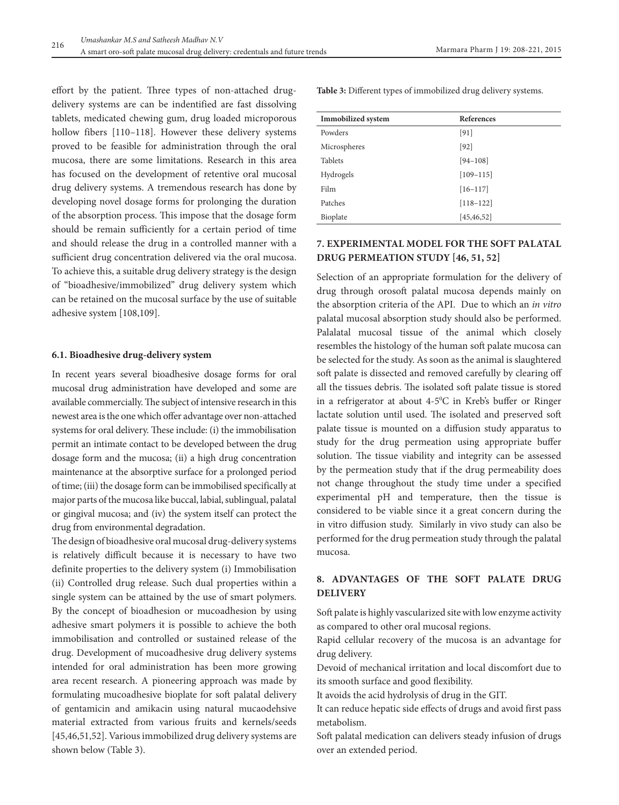effort by the patient. Three types of non-attached drugdelivery systems are can be indentified are fast dissolving tablets, medicated chewing gum, drug loaded microporous hollow fibers [110-118]. However these delivery systems proved to be feasible for administration through the oral mucosa, there are some limitations. Research in this area has focused on the development of retentive oral mucosal drug delivery systems. A tremendous research has done by developing novel dosage forms for prolonging the duration of the absorption process. This impose that the dosage form should be remain sufficiently for a certain period of time and should release the drug in a controlled manner with a sufficient drug concentration delivered via the oral mucosa. To achieve this, a suitable drug delivery strategy is the design of "bioadhesive/immobilized" drug delivery system which can be retained on the mucosal surface by the use of suitable adhesive system [108,109].

### **6.1. Bioadhesive drug-delivery system**

In recent years several bioadhesive dosage forms for oral mucosal drug administration have developed and some are available commercially. The subject of intensive research in this newest area is the one which offer advantage over non-attached systems for oral delivery. These include: (i) the immobilisation permit an intimate contact to be developed between the drug dosage form and the mucosa; (ii) a high drug concentration maintenance at the absorptive surface for a prolonged period of time; (iii) the dosage form can be immobilised specifically at major parts of the mucosa like buccal, labial, sublingual, palatal or gingival mucosa; and (iv) the system itself can protect the drug from environmental degradation.

The design of bioadhesive oral mucosal drug-delivery systems is relatively difficult because it is necessary to have two definite properties to the delivery system (i) Immobilisation (ii) Controlled drug release. Such dual properties within a single system can be attained by the use of smart polymers. By the concept of bioadhesion or mucoadhesion by using adhesive smart polymers it is possible to achieve the both immobilisation and controlled or sustained release of the drug. Development of mucoadhesive drug delivery systems intended for oral administration has been more growing area recent research. A pioneering approach was made by formulating mucoadhesive bioplate for soft palatal delivery of gentamicin and amikacin using natural mucaodehsive material extracted from various fruits and kernels/seeds [45,46,51,52]. Various immobilized drug delivery systems are shown below (Table 3).

**Table 3:** Different types of immobilized drug delivery systems.

| <b>Immobilized</b> system | <b>References</b> |  |
|---------------------------|-------------------|--|
| Powders                   | [91]              |  |
| Microspheres              | [92]              |  |
| <b>Tablets</b>            | $[94 - 108]$      |  |
| Hydrogels                 | $[109 - 115]$     |  |
| Film                      | $[16-117]$        |  |
| Patches                   | $[118 - 122]$     |  |
| Bioplate                  | [45, 46, 52]      |  |

# **7. ExperImental model for the soft palatal drug permeatIon study [46, 51, 52]**

Selection of an appropriate formulation for the delivery of drug through orosoft palatal mucosa depends mainly on the absorption criteria of the API. Due to which an *in vitro* palatal mucosal absorption study should also be performed. Palalatal mucosal tissue of the animal which closely resembles the histology of the human soft palate mucosa can be selected for the study. As soon as the animal is slaughtered soft palate is dissected and removed carefully by clearing off all the tissues debris. The isolated soft palate tissue is stored in a refrigerator at about 4-50 C in Kreb's buffer or Ringer lactate solution until used. The isolated and preserved soft palate tissue is mounted on a diffusion study apparatus to study for the drug permeation using appropriate buffer solution. The tissue viability and integrity can be assessed by the permeation study that if the drug permeability does not change throughout the study time under a specified experimental pH and temperature, then the tissue is considered to be viable since it a great concern during the in vitro diffusion study. Similarly in vivo study can also be performed for the drug permeation study through the palatal mucosa.

## **8. Advantages of the soft palate drug delIvery**

Soft palate is highly vascularized site with low enzyme activity as compared to other oral mucosal regions.

Rapid cellular recovery of the mucosa is an advantage for drug delivery.

Devoid of mechanical irritation and local discomfort due to its smooth surface and good flexibility.

It avoids the acid hydrolysis of drug in the GIT.

It can reduce hepatic side effects of drugs and avoid first pass metabolism.

Soft palatal medication can delivers steady infusion of drugs over an extended period.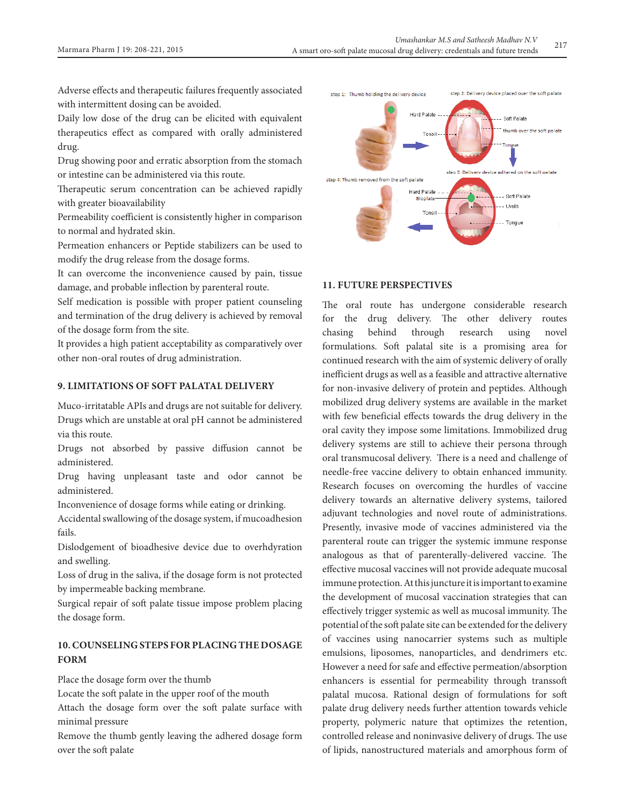Adverse effects and therapeutic failures frequently associated with intermittent dosing can be avoided.

Daily low dose of the drug can be elicited with equivalent therapeutics effect as compared with orally administered drug.

Drug showing poor and erratic absorption from the stomach or intestine can be administered via this route.

Therapeutic serum concentration can be achieved rapidly with greater bioavailability

Permeability coefficient is consistently higher in comparison to normal and hydrated skin.

Permeation enhancers or Peptide stabilizers can be used to modify the drug release from the dosage forms.

It can overcome the inconvenience caused by pain, tissue damage, and probable inflection by parenteral route.

Self medication is possible with proper patient counseling and termination of the drug delivery is achieved by removal of the dosage form from the site.

It provides a high patient acceptability as comparatively over other non-oral routes of drug administration.

## **9. LImItatIons of soft palatal delIvery**

Muco-irritatable APIs and drugs are not suitable for delivery. Drugs which are unstable at oral pH cannot be administered via this route.

Drugs not absorbed by passive diffusion cannot be administered.

Drug having unpleasant taste and odor cannot be administered.

Inconvenience of dosage forms while eating or drinking.

Accidental swallowing of the dosage system, if mucoadhesion fails.

Dislodgement of bioadhesive device due to overhdyration and swelling.

Loss of drug in the saliva, if the dosage form is not protected by impermeable backing membrane.

Surgical repair of soft palate tissue impose problem placing the dosage form.

# **10. CounselIng steps forplacIng the dosage form**

Place the dosage form over the thumb

Locate the soft palate in the upper roof of the mouth

Attach the dosage form over the soft palate surface with minimal pressure

Remove the thumb gently leaving the adhered dosage form over the soft palate



## **11. Future perspectIves**

The oral route has undergone considerable research for the drug delivery. The other delivery routes chasing behind through research using novel formulations. Soft palatal site is a promising area for continued research with the aim of systemic delivery of orally inefficient drugs as well as a feasible and attractive alternative for non-invasive delivery of protein and peptides. Although mobilized drug delivery systems are available in the market with few beneficial effects towards the drug delivery in the oral cavity they impose some limitations. Immobilized drug delivery systems are still to achieve their persona through oral transmucosal delivery. There is a need and challenge of needle-free vaccine delivery to obtain enhanced immunity. Research focuses on overcoming the hurdles of vaccine delivery towards an alternative delivery systems, tailored adjuvant technologies and novel route of administrations. Presently, invasive mode of vaccines administered via the parenteral route can trigger the systemic immune response analogous as that of parenterally-delivered vaccine. The effective mucosal vaccines will not provide adequate mucosal immune protection. At this juncture it is important to examine the development of mucosal vaccination strategies that can effectively trigger systemic as well as mucosal immunity. The potential of the soft palate site can be extended for the delivery of vaccines using nanocarrier systems such as multiple emulsions, liposomes, nanoparticles, and dendrimers etc. However a need for safe and effective permeation/absorption enhancers is essential for permeability through transsoft palatal mucosa. Rational design of formulations for soft palate drug delivery needs further attention towards vehicle property, polymeric nature that optimizes the retention, controlled release and noninvasive delivery of drugs. The use of lipids, nanostructured materials and amorphous form of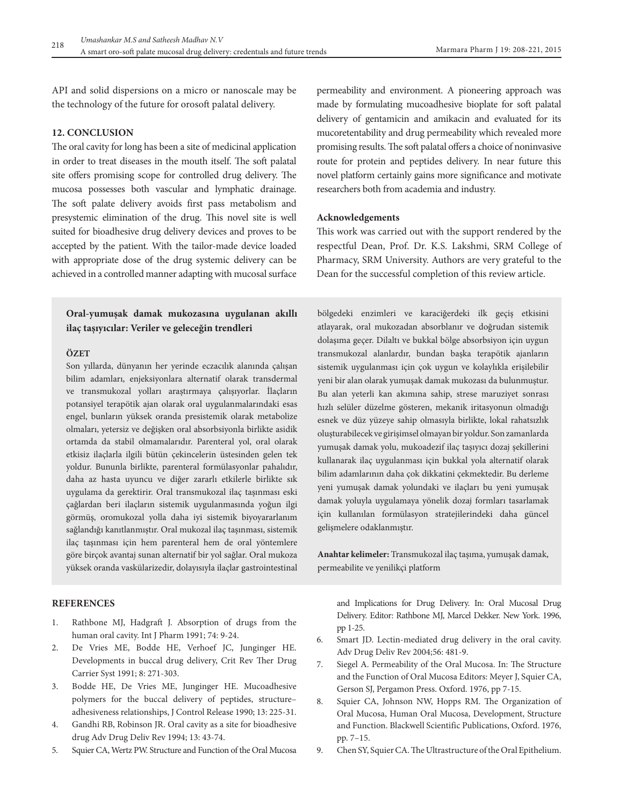API and solid dispersions on a micro or nanoscale may be the technology of the future for orosoft palatal delivery.

## **12. ConclusIon**

The oral cavity for long has been a site of medicinal application in order to treat diseases in the mouth itself. The soft palatal site offers promising scope for controlled drug delivery. The mucosa possesses both vascular and lymphatic drainage. The soft palate delivery avoids first pass metabolism and presystemic elimination of the drug. This novel site is well suited for bioadhesive drug delivery devices and proves to be accepted by the patient. With the tailor-made device loaded with appropriate dose of the drug systemic delivery can be achieved in a controlled manner adapting with mucosal surface

# **Oral-yumuşak damak mukozasına uygulanan akıllı ilaç taşıyıcılar: Veriler ve geleceğin trendleri**

#### **ÖZET**

Son yıllarda, dünyanın her yerinde eczacılık alanında çalışan bilim adamları, enjeksiyonlara alternatif olarak transdermal ve transmukozal yolları araştırmaya çalışıyorlar. İlaçların potansiyel terapötik ajan olarak oral uygulanmalarındaki esas engel, bunların yüksek oranda presistemik olarak metabolize olmaları, yetersiz ve değişken oral absorbsiyonla birlikte asidik ortamda da stabil olmamalarıdır. Parenteral yol, oral olarak etkisiz ilaçlarla ilgili bütün çekincelerin üstesinden gelen tek yoldur. Bununla birlikte, parenteral formülasyonlar pahalıdır, daha az hasta uyuncu ve diğer zararlı etkilerle birlikte sık uygulama da gerektirir. Oral transmukozal ilaç taşınması eski çağlardan beri ilaçların sistemik uygulanmasında yoğun ilgi görmüş, oromukozal yolla daha iyi sistemik biyoyararlanım sağlandığı kanıtlanmıştır. Oral mukozal ilaç taşınması, sistemik ilaç taşınması için hem parenteral hem de oral yöntemlere göre birçok avantaj sunan alternatif bir yol sağlar. Oral mukoza yüksek oranda vaskülarizedir, dolayısıyla ilaçlar gastrointestinal permeability and environment. A pioneering approach was made by formulating mucoadhesive bioplate for soft palatal delivery of gentamicin and amikacin and evaluated for its mucoretentability and drug permeability which revealed more promising results. The soft palatal offers a choice of noninvasive route for protein and peptides delivery. In near future this novel platform certainly gains more significance and motivate researchers both from academia and industry.

#### **Acknowledgements**

This work was carried out with the support rendered by the respectful Dean, Prof. Dr. K.S. Lakshmi, SRM College of Pharmacy, SRM University. Authors are very grateful to the Dean for the successful completion of this review article.

bölgedeki enzimleri ve karaciğerdeki ilk geçiş etkisini atlayarak, oral mukozadan absorblanır ve doğrudan sistemik dolaşıma geçer. Dilaltı ve bukkal bölge absorbsiyon için uygun transmukozal alanlardır, bundan başka terapötik ajanların sistemik uygulanması için çok uygun ve kolaylıkla erişilebilir yeni bir alan olarak yumuşak damak mukozası da bulunmuştur. Bu alan yeterli kan akımına sahip, strese maruziyet sonrası hızlı selüler düzelme gösteren, mekanik iritasyonun olmadığı esnek ve düz yüzeye sahip olmasıyla birlikte, lokal rahatsızlık oluşturabilecek ve girişimsel olmayan bir yoldur. Son zamanlarda yumuşak damak yolu, mukoadezif ilaç taşıyıcı dozaj şekillerini kullanarak ilaç uygulanması için bukkal yola alternatif olarak bilim adamlarının daha çok dikkatini çekmektedir. Bu derleme yeni yumuşak damak yolundaki ve ilaçları bu yeni yumuşak damak yoluyla uygulamaya yönelik dozaj formları tasarlamak için kullanılan formülasyon stratejilerindeki daha güncel gelişmelere odaklanmıştır.

**Anahtar kelimeler:** Transmukozal ilaç taşıma, yumuşak damak, permeabilite ve yenilikçi platform

#### **References**

- 1. Rathbone MJ, Hadgraft J. Absorption of drugs from the human oral cavity. Int J Pharm 1991; 74: 9-24.
- 2. De Vries ME, Bodde HE, Verhoef JC, Junginger HE. Developments in buccal drug delivery, Crit Rev Ther Drug Carrier Syst 1991; 8: 271-303.
- 3. Bodde HE, De Vries ME, Junginger HE. Mucoadhesive polymers for the buccal delivery of peptides, structure– adhesiveness relationships, J Control Release 1990; 13: 225-31.
- 4. Gandhi RB, Robinson JR. Oral cavity as a site for bioadhesive drug Adv Drug Deliv Rev 1994; 13: 43-74.
- 5. Squier CA, Wertz PW. Structure and Function of the Oral Mucosa

and Implications for Drug Delivery. In: Oral Mucosal Drug Delivery. Editor: Rathbone MJ, Marcel Dekker. New York. 1996, pp 1-25.

- 6. Smart JD. Lectin-mediated drug delivery in the oral cavity. Adv Drug Deliv Rev 2004;56: 481-9.
- 7. Siegel A. Permeability of the Oral Mucosa. In: The Structure and the Function of Oral Mucosa Editors: Meyer J, Squier CA, Gerson SJ, Pergamon Press. Oxford. 1976, pp 7-15.
- 8. Squier CA, Johnson NW, Hopps RM. The Organization of Oral Mucosa, Human Oral Mucosa, Development, Structure and Function. Blackwell Scientific Publications, Oxford. 1976, pp. 7–15.
- 9. Chen SY, Squier CA. The Ultrastructure of the Oral Epithelium.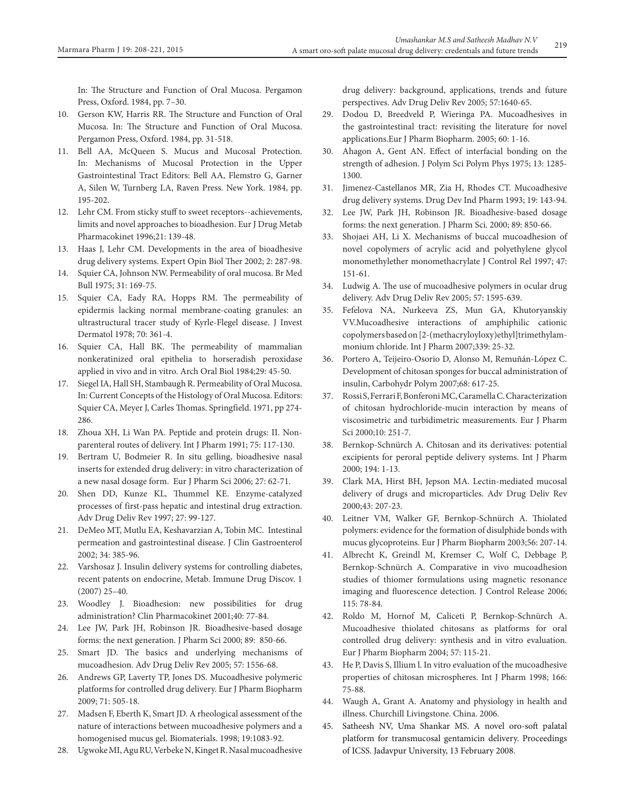In: The Structure and Function of Oral Mucosa. Pergamon Press, Oxford. 1984, pp. 7–30.

- 10. Gerson KW, Harris RR. The Structure and Function of Oral Mucosa. In: The Structure and Function of Oral Mucosa. Pergamon Press, Oxford. 1984, pp. 31-518.
- 11. Bell AA, McQueen S. Mucus and Mucosal Protection. In: Mechanisms of Mucosal Protection in the Upper Gastrointestinal Tract Editors: Bell AA, Flemstro G, Garner A, Silen W, Turnberg LA, Raven Press. New York. 1984, pp. 195-202.
- 12. Lehr CM. From sticky stuff to sweet receptors--achievements, limits and novel approaches to bioadhesion. Eur J Drug Metab Pharmacokinet 1996;21: 139-48.
- 13. Haas J, Lehr CM. Developments in the area of bioadhesive drug delivery systems. Expert Opin Biol Ther 2002; 2: 287-98.
- 14. Squier CA, Johnson NW. Permeability of oral mucosa. Br Med Bull 1975; 31: 169-75.
- 15. Squier CA, Eady RA, Hopps RM. The permeability of epidermis lacking normal membrane-coating granules: an ultrastructural tracer study of Kyrle-Flegel disease. J Invest Dermatol 1978; 70: 361-4.
- 16. Squier CA, Hall BK. The permeability of mammalian nonkeratinized oral epithelia to horseradish peroxidase applied in vivo and in vitro. Arch Oral Biol 1984;29: 45-50.
- 17. Siegel IA, Hall SH, Stambaugh R. Permeability of Oral Mucosa. In: Current Concepts of the Histology of Oral Mucosa. Editors: Squier CA, Meyer J, Carles Thomas. Springfield. 1971, pp 274- 286.
- 18. Zhoua XH, Li Wan PA. Peptide and protein drugs: II. Nonparenteral routes of delivery. Int J Pharm 1991; 75: 117-130.
- 19. Bertram U, Bodmeier R. In situ gelling, bioadhesive nasal inserts for extended drug delivery: in vitro characterization of a new nasal dosage form. Eur J Pharm Sci 2006; 27: 62-71.
- 20. Shen DD, Kunze KL, Thummel KE. Enzyme-catalyzed processes of first-pass hepatic and intestinal drug extraction. Adv Drug Deliv Rev 1997; 27: 99-127.
- 21. DeMeo MT, Mutlu EA, Keshavarzian A, Tobin MC. Intestinal permeation and gastrointestinal disease. J Clin Gastroenterol 2002; 34: 385-96.
- 22. Varshosaz J. Insulin delivery systems for controlling diabetes, recent patents on endocrine, Metab. Immune Drug Discov. 1 (2007) 25–40.
- 23. Woodley J. Bioadhesion: new possibilities for drug administration? Clin Pharmacokinet 2001;40: 77-84.
- 24. Lee JW, Park JH, Robinson JR. Bioadhesive-based dosage forms: the next generation. J Pharm Sci 2000; 89: 850-66.
- 25. Smart JD. The basics and underlying mechanisms of mucoadhesion. Adv Drug Deliv Rev 2005; 57: 1556-68.
- 26. Andrews GP, Laverty TP, Jones DS. Mucoadhesive polymeric platforms for controlled drug delivery. Eur J Pharm Biopharm 2009; 71: 505-18.
- 27. Madsen F, Eberth K, Smart JD. A rheological assessment of the nature of interactions between mucoadhesive polymers and a homogenised mucus gel. Biomaterials. 1998; 19:1083-92.
- 28. Ugwoke MI, Agu RU, Verbeke N, Kinget R. Nasal mucoadhesive

drug delivery: background, applications, trends and future perspectives. Adv Drug Deliv Rev 2005; 57:1640-65.

- 29. Dodou D, Breedveld P, Wieringa PA. Mucoadhesives in the gastrointestinal tract: revisiting the literature for novel applications.Eur J Pharm Biopharm. 2005; 60: 1-16.
- 30. Ahagon A, Gent AN. Effect of interfacial bonding on the strength of adhesion. J Polym Sci Polym Phys 1975; 13: 1285- 1300.
- 31. Jimenez-Castellanos MR, Zia H, Rhodes CT. Mucoadhesive drug delivery systems. Drug Dev Ind Pharm 1993; 19: 143-94.
- 32. Lee JW, Park JH, Robinson JR. Bioadhesive-based dosage forms: the next generation. J Pharm Sci. 2000; 89: 850-66.
- 33. Shojaei AH, Li X. Mechanisms of buccal mucoadhesion of novel copolymers of acrylic acid and polyethylene glycol monomethylether monomethacrylate J Control Rel 1997; 47: 151-61.
- 34. Ludwig A. The use of mucoadhesive polymers in ocular drug delivery. Adv Drug Deliv Rev 2005; 57: 1595-639.
- 35. Fefelova NA, Nurkeeva ZS, Mun GA, Khutoryanskiy VV.Mucoadhesive interactions of amphiphilic cationic copolymers based on [2-(methacryloyloxy)ethyl]trimethylammonium chloride. Int J Pharm 2007;339: 25-32.
- 36. Portero A, Teijeiro-Osorio D, Alonso M, Remuñán-López C. Development of chitosan sponges for buccal administration of insulin, Carbohydr Polym 2007;68: 617-25.
- 37. Rossi S, Ferrari F, Bonferoni MC, Caramella C. Characterization of chitosan hydrochloride-mucin interaction by means of viscosimetric and turbidimetric measurements. Eur J Pharm Sci 2000;10: 251-7.
- 38. Bernkop-Schnürch A. Chitosan and its derivatives: potential excipients for peroral peptide delivery systems. Int J Pharm 2000; 194: 1-13.
- 39. Clark MA, Hirst BH, Jepson MA. Lectin-mediated mucosal delivery of drugs and microparticles. Adv Drug Deliv Rev 2000;43: 207-23.
- 40. Leitner VM, Walker GF, Bernkop-Schnürch A. Thiolated polymers: evidence for the formation of disulphide bonds with mucus glycoproteins. Eur J Pharm Biopharm 2003;56: 207-14.
- 41. Albrecht K, Greindl M, Kremser C, Wolf C, Debbage P, Bernkop-Schnürch A. Comparative in vivo mucoadhesion studies of thiomer formulations using magnetic resonance imaging and fluorescence detection. J Control Release 2006; 115: 78-84.
- 42. Roldo M, Hornof M, Caliceti P, Bernkop-Schnürch A. Mucoadhesive thiolated chitosans as platforms for oral controlled drug delivery: synthesis and in vitro evaluation. Eur J Pharm Biopharm 2004; 57: 115-21.
- 43. He P, Davis S, Illium l. In vitro evaluation of the mucoadhesive properties of chitosan microspheres. Int J Pharm 1998; 166: 75-88.
- 44. Waugh A, Grant A. Anatomy and physiology in health and illness. Churchill Livingstone. China. 2006.
- 45. Satheesh NV, Uma Shankar MS. A novel oro-soft palatal platform for transmucosal gentamicin delivery. Proceedings of ICSS. Jadavpur University, 13 February 2008.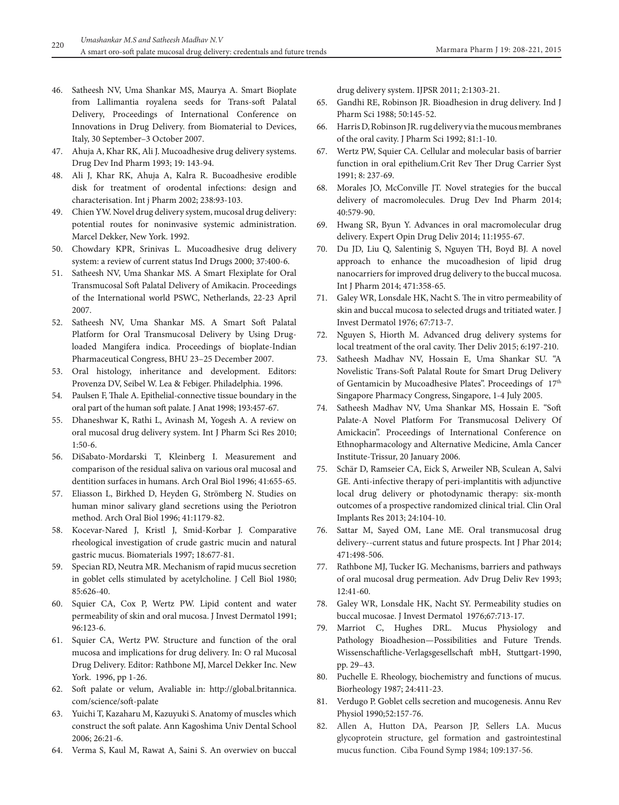- 46. Satheesh NV, Uma Shankar MS, Maurya A. Smart Bioplate from Lallimantia royalena seeds for Trans-soft Palatal Delivery, Proceedings of International Conference on Innovations in Drug Delivery. from Biomaterial to Devices, Italy, 30 September–3 October 2007.
- 47. Ahuja A, Khar RK, Ali J. Mucoadhesive drug delivery systems. Drug Dev Ind Pharm 1993; 19: 143-94.
- 48. Ali J, Khar RK, Ahuja A, Kalra R. Bucoadhesive erodible disk for treatment of orodental infections: design and characterisation. Int j Pharm 2002; 238:93-103.
- 49. Chien YW. Novel drug delivery system, mucosal drug delivery: potential routes for noninvasive systemic administration. Marcel Dekker, New York. 1992.
- 50. Chowdary KPR, Srinivas L. Mucoadhesive drug delivery system: a review of current status Ind Drugs 2000; 37:400-6.
- 51. Satheesh NV, Uma Shankar MS. A Smart Flexiplate for Oral Transmucosal Soft Palatal Delivery of Amikacin. Proceedings of the International world PSWC, Netherlands, 22-23 April 2007.
- 52. Satheesh NV, Uma Shankar MS. A Smart Soft Palatal Platform for Oral Transmucosal Delivery by Using Drugloaded Mangifera indica. Proceedings of bioplate-Indian Pharmaceutical Congress, BHU 23–25 December 2007.
- 53. Oral histology, inheritance and development. Editors: Provenza DV, Seibel W. Lea & Febiger. Philadelphia. 1996.
- 54. Paulsen F, Thale A. Epithelial-connective tissue boundary in the oral part of the human soft palate. J Anat 1998; 193:457-67.
- 55. Dhaneshwar K, Rathi L, Avinash M, Yogesh A. A review on oral mucosal drug delivery system. Int J Pharm Sci Res 2010; 1:50-6.
- 56. DiSabato-Mordarski T, Kleinberg I. Measurement and comparison of the residual saliva on various oral mucosal and dentition surfaces in humans. Arch Oral Biol 1996; 41:655-65.
- 57. Eliasson L, Birkhed D, Heyden G, Strömberg N. Studies on human minor salivary gland secretions using the Periotron method. Arch Oral Biol 1996; 41:1179-82.
- 58. Kocevar-Nared J, Kristl J, Smid-Korbar J. Comparative rheological investigation of crude gastric mucin and natural gastric mucus. Biomaterials 1997; 18:677-81.
- 59. Specian RD, Neutra MR. Mechanism of rapid mucus secretion in goblet cells stimulated by acetylcholine. J Cell Biol 1980; 85:626-40.
- 60. Squier CA, Cox P, Wertz PW. Lipid content and water permeability of skin and oral mucosa. J Invest Dermatol 1991; 96:123-6.
- 61. Squier CA, Wertz PW. Structure and function of the oral mucosa and implications for drug delivery. In: O ral Mucosal Drug Delivery. Editor: Rathbone MJ, Marcel Dekker Inc. New York. 1996, pp 1-26.
- 62. Soft palate or velum, Avaliable in: http://global.britannica. com/science/soft-palate
- 63. Yuichi T, Kazaharu M, Kazuyuki S. Anatomy of muscles which construct the soft palate. Ann Kagoshima Univ Dental School 2006; 26:21-6.
- 64. Verma S, Kaul M, Rawat A, Saini S. An overwiev on buccal

drug delivery system. IJPSR 2011; 2:1303-21.

- 65. Gandhi RE, Robinson JR. Bioadhesion in drug delivery. Ind J Pharm Sci 1988; 50:145-52.
- 66. Harris D, Robinson JR. rug delivery via the mucous membranes of the oral cavity. J Pharm Sci 1992; 81:1-10.
- 67. Wertz PW, Squier CA. Cellular and molecular basis of barrier function in oral epithelium.Crit Rev Ther Drug Carrier Syst 1991; 8: 237-69.
- 68. Morales JO, McConville JT. Novel strategies for the buccal delivery of macromolecules. Drug Dev Ind Pharm 2014; 40:579-90.
- 69. Hwang SR, Byun Y. Advances in oral macromolecular drug delivery. Expert Opin Drug Deliv 2014; 11:1955-67.
- 70. Du JD, Liu Q, Salentinig S, Nguyen TH, Boyd BJ. A novel approach to enhance the mucoadhesion of lipid drug nanocarriers for improved drug delivery to the buccal mucosa. Int J Pharm 2014; 471:358-65.
- 71. Galey WR, Lonsdale HK, Nacht S. The in vitro permeability of skin and buccal mucosa to selected drugs and tritiated water. J Invest Dermatol 1976; 67:713-7.
- 72. Nguyen S, Hiorth M. Advanced drug delivery systems for local treatment of the oral cavity. Ther Deliv 2015; 6:197-210.
- 73. Satheesh Madhav NV, Hossain E, Uma Shankar SU. "A Novelistic Trans-Soft Palatal Route for Smart Drug Delivery of Gentamicin by Mucoadhesive Plates". Proceedings of 17<sup>th</sup> Singapore Pharmacy Congress, Singapore, 1-4 July 2005.
- 74. Satheesh Madhav NV, Uma Shankar MS, Hossain E. "Soft Palate-A Novel Platform For Transmucosal Delivery Of Amickacin". Proceedings of International Conference on Ethnopharmacology and Alternative Medicine, Amla Cancer Institute-Trissur, 20 January 2006.
- 75. Schär D, Ramseier CA, Eick S, Arweiler NB, Sculean A, Salvi GE. Anti-infective therapy of peri-implantitis with adjunctive local drug delivery or photodynamic therapy: six-month outcomes of a prospective randomized clinical trial. Clin Oral Implants Res 2013; 24:104-10.
- 76. Sattar M, Sayed OM, Lane ME. Oral transmucosal drug delivery--current status and future prospects. Int J Phar 2014; 471:498-506.
- 77. Rathbone MJ, Tucker IG. Mechanisms, barriers and pathways of oral mucosal drug permeation. Adv Drug Deliv Rev 1993; 12:41-60.
- 78. Galey WR, Lonsdale HK, Nacht SY. Permeability studies on buccal mucosae. J Invest Dermatol 1976;67:713-17.
- 79. Marriot C, Hughes DRL. Mucus Physiology and Pathology Bioadhesion—Possibilities and Future Trends. Wissenschaftliche-Verlagsgesellschaft mbH, Stuttgart-1990, pp. 29–43.
- 80. Puchelle E. Rheology, biochemistry and functions of mucus. Biorheology 1987; 24:411-23.
- 81. Verdugo P. Goblet cells secretion and mucogenesis. Annu Rev Physiol 1990;52:157-76.
- 82. Allen A, Hutton DA, Pearson JP, Sellers LA. Mucus glycoprotein structure, gel formation and gastrointestinal mucus function. Ciba Found Symp 1984; 109:137-56.